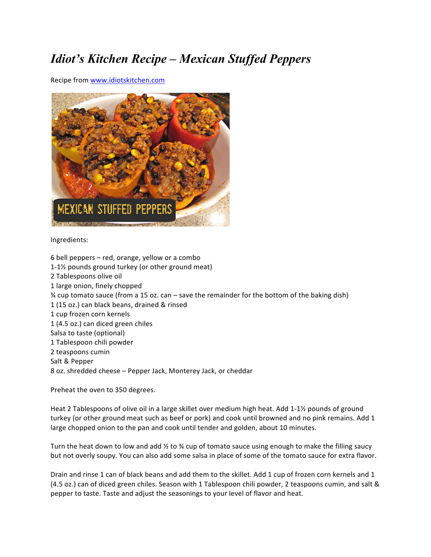## *Idiot's Kitchen Recipe – Mexican Stuffed Peppers*

Recipe from www.idiotskitchen.com



## Ingredients:

6 bell peppers  $-$  red, orange, yellow or a combo 1-1 $\frac{1}{2}$  pounds ground turkey (or other ground meat) 2 Tablespoons olive oil 1 large onion, finely chopped  $\frac{3}{4}$  cup tomato sauce (from a 15 oz. can – save the remainder for the bottom of the baking dish) 1 (15 oz.) can black beans, drained & rinsed 1 cup frozen corn kernels 1 (4.5 oz.) can diced green chiles Salsa to taste (optional) 1 Tablespoon chili powder 2 teaspoons cumin Salt & Pepper 8 oz. shredded cheese - Pepper Jack, Monterey Jack, or cheddar

Preheat the oven to 350 degrees.

Heat 2 Tablespoons of olive oil in a large skillet over medium high heat. Add 1-1½ pounds of ground turkey (or other ground meat such as beef or pork) and cook until browned and no pink remains. Add 1 large chopped onion to the pan and cook until tender and golden, about 10 minutes.

Turn the heat down to low and add  $\frac{1}{2}$  to  $\frac{1}{2}$  cup of tomato sauce using enough to make the filling saucy but not overly soupy. You can also add some salsa in place of some of the tomato sauce for extra flavor.

Drain and rinse 1 can of black beans and add them to the skillet. Add 1 cup of frozen corn kernels and 1 (4.5 oz.) can of diced green chiles. Season with 1 Tablespoon chili powder, 2 teaspoons cumin, and salt & pepper to taste. Taste and adjust the seasonings to your level of flavor and heat.